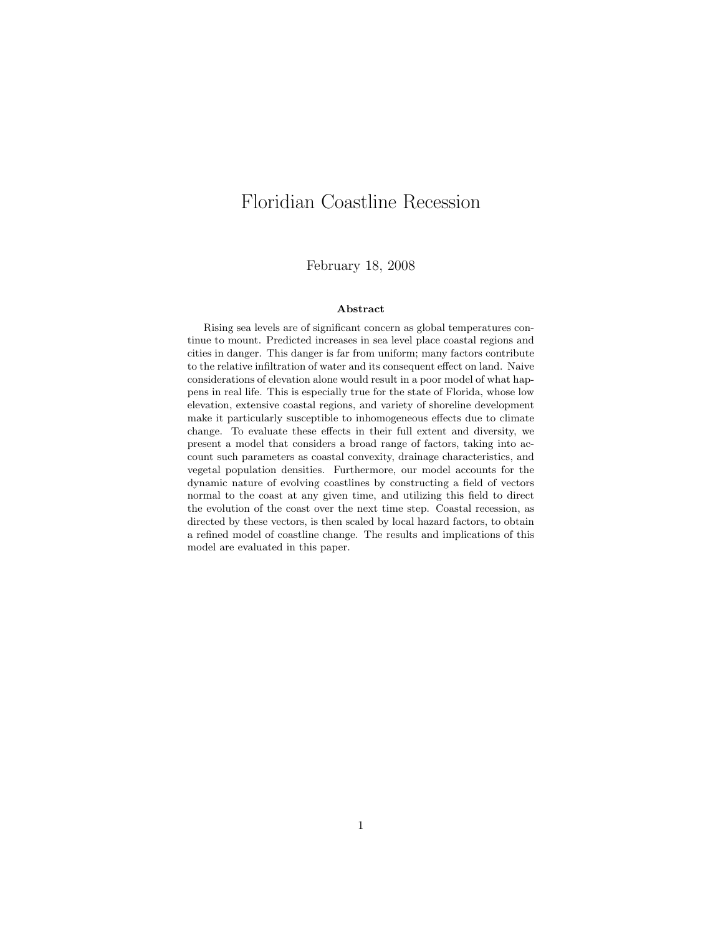# Floridian Coastline Recession

February 18, 2008

#### Abstract

Rising sea levels are of significant concern as global temperatures continue to mount. Predicted increases in sea level place coastal regions and cities in danger. This danger is far from uniform; many factors contribute to the relative infiltration of water and its consequent effect on land. Naive considerations of elevation alone would result in a poor model of what happens in real life. This is especially true for the state of Florida, whose low elevation, extensive coastal regions, and variety of shoreline development make it particularly susceptible to inhomogeneous effects due to climate change. To evaluate these effects in their full extent and diversity, we present a model that considers a broad range of factors, taking into account such parameters as coastal convexity, drainage characteristics, and vegetal population densities. Furthermore, our model accounts for the dynamic nature of evolving coastlines by constructing a field of vectors normal to the coast at any given time, and utilizing this field to direct the evolution of the coast over the next time step. Coastal recession, as directed by these vectors, is then scaled by local hazard factors, to obtain a refined model of coastline change. The results and implications of this model are evaluated in this paper.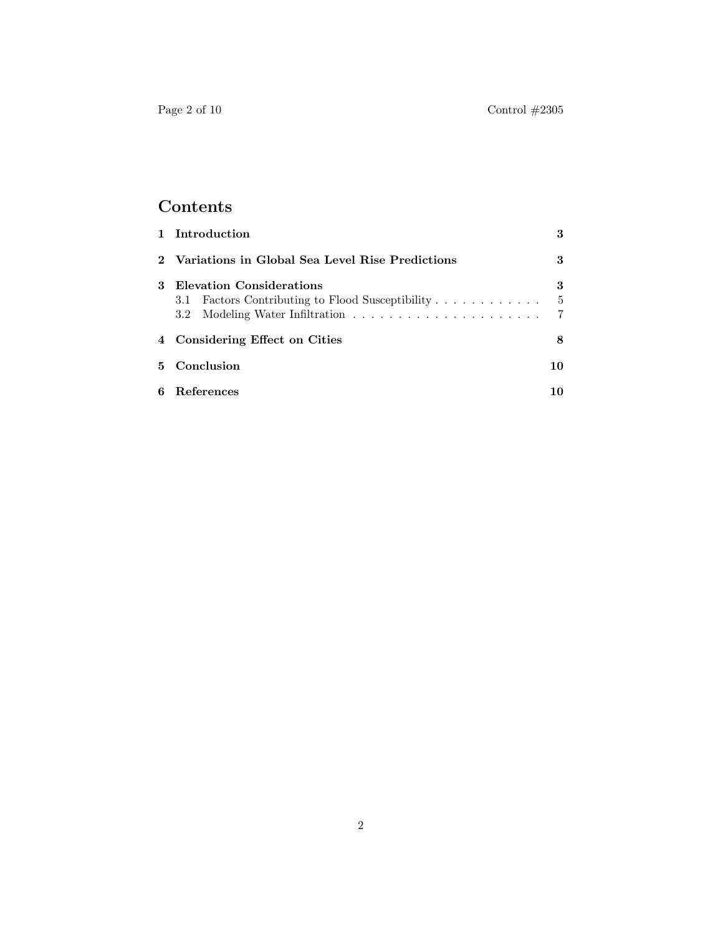## Contents

|   | 1 Introduction                                                               | 3              |  |
|---|------------------------------------------------------------------------------|----------------|--|
|   | 2 Variations in Global Sea Level Rise Predictions                            | 3              |  |
| 3 | Elevation Considerations<br>3.1 Factors Contributing to Flood Susceptibility | 3<br>- 5<br>-7 |  |
|   | 4 Considering Effect on Cities                                               | 8              |  |
|   | 5 Conclusion                                                                 |                |  |
| 6 | References                                                                   | 10             |  |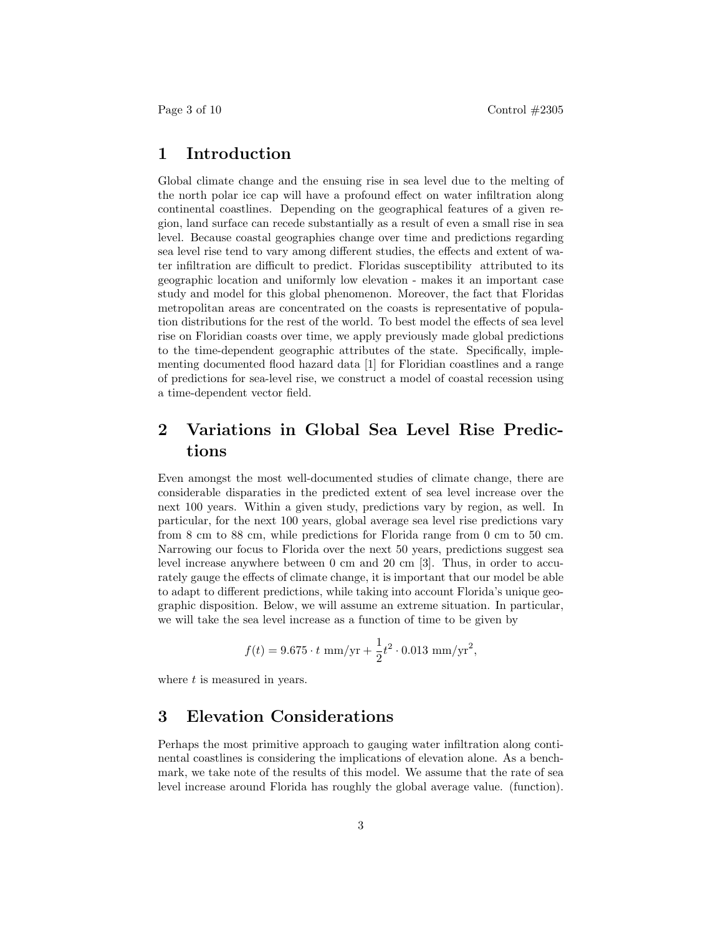## 1 Introduction

Global climate change and the ensuing rise in sea level due to the melting of the north polar ice cap will have a profound effect on water infiltration along continental coastlines. Depending on the geographical features of a given region, land surface can recede substantially as a result of even a small rise in sea level. Because coastal geographies change over time and predictions regarding sea level rise tend to vary among different studies, the effects and extent of water infiltration are difficult to predict. Floridas susceptibility attributed to its geographic location and uniformly low elevation - makes it an important case study and model for this global phenomenon. Moreover, the fact that Floridas metropolitan areas are concentrated on the coasts is representative of population distributions for the rest of the world. To best model the effects of sea level rise on Floridian coasts over time, we apply previously made global predictions to the time-dependent geographic attributes of the state. Specifically, implementing documented flood hazard data [1] for Floridian coastlines and a range of predictions for sea-level rise, we construct a model of coastal recession using a time-dependent vector field.

## 2 Variations in Global Sea Level Rise Predictions

Even amongst the most well-documented studies of climate change, there are considerable disparaties in the predicted extent of sea level increase over the next 100 years. Within a given study, predictions vary by region, as well. In particular, for the next 100 years, global average sea level rise predictions vary from 8 cm to 88 cm, while predictions for Florida range from 0 cm to 50 cm. Narrowing our focus to Florida over the next 50 years, predictions suggest sea level increase anywhere between 0 cm and 20 cm [3]. Thus, in order to accurately gauge the effects of climate change, it is important that our model be able to adapt to different predictions, while taking into account Florida's unique geographic disposition. Below, we will assume an extreme situation. In particular, we will take the sea level increase as a function of time to be given by

$$
f(t) = 9.675 \cdot t \, \text{mm/yr} + \frac{1}{2} t^2 \cdot 0.013 \, \text{mm/yr}^2,
$$

where  $t$  is measured in years.

## 3 Elevation Considerations

Perhaps the most primitive approach to gauging water infiltration along continental coastlines is considering the implications of elevation alone. As a benchmark, we take note of the results of this model. We assume that the rate of sea level increase around Florida has roughly the global average value. (function).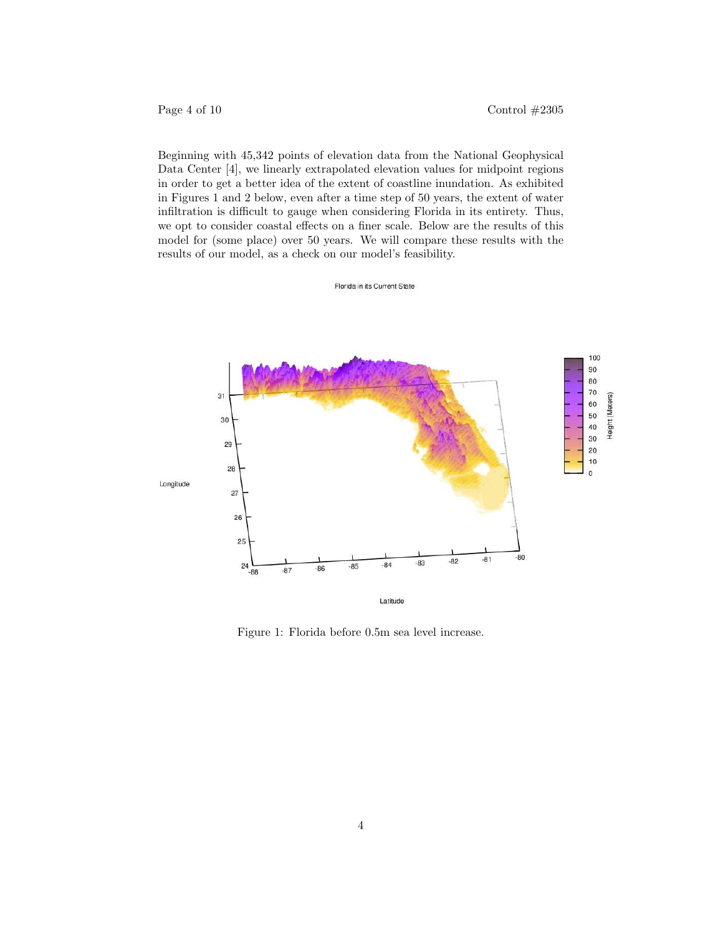Page 4 of 10  $\text{Control} \#2305$ 

Beginning with 45,342 points of elevation data from the National Geophysical Data Center [4], we linearly extrapolated elevation values for midpoint regions in order to get a better idea of the extent of coastline inundation. As exhibited in Figures 1 and 2 below, even after a time step of 50 years, the extent of water infiltration is difficult to gauge when considering Florida in its entirety. Thus, we opt to consider coastal effects on a finer scale. Below are the results of this model for (some place) over 50 years. We will compare these results with the results of our model, as a check on our model's feasibility.



Florida in its Current State

Figure 1: Florida before 0.5m sea level increase.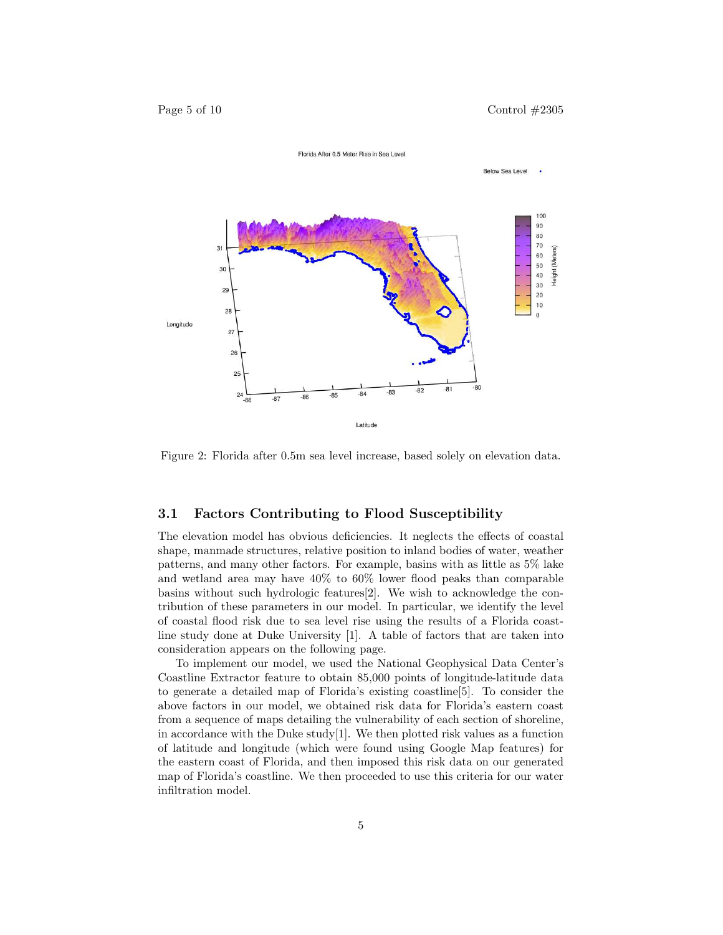

Figure 2: Florida after 0.5m sea level increase, based solely on elevation data.

#### 3.1 Factors Contributing to Flood Susceptibility

The elevation model has obvious deficiencies. It neglects the effects of coastal shape, manmade structures, relative position to inland bodies of water, weather patterns, and many other factors. For example, basins with as little as 5% lake and wetland area may have 40% to 60% lower flood peaks than comparable basins without such hydrologic features[2]. We wish to acknowledge the contribution of these parameters in our model. In particular, we identify the level of coastal flood risk due to sea level rise using the results of a Florida coastline study done at Duke University [1]. A table of factors that are taken into consideration appears on the following page.

To implement our model, we used the National Geophysical Data Center's Coastline Extractor feature to obtain 85,000 points of longitude-latitude data to generate a detailed map of Florida's existing coastline[5]. To consider the above factors in our model, we obtained risk data for Florida's eastern coast from a sequence of maps detailing the vulnerability of each section of shoreline, in accordance with the Duke study[1]. We then plotted risk values as a function of latitude and longitude (which were found using Google Map features) for the eastern coast of Florida, and then imposed this risk data on our generated map of Florida's coastline. We then proceeded to use this criteria for our water infiltration model.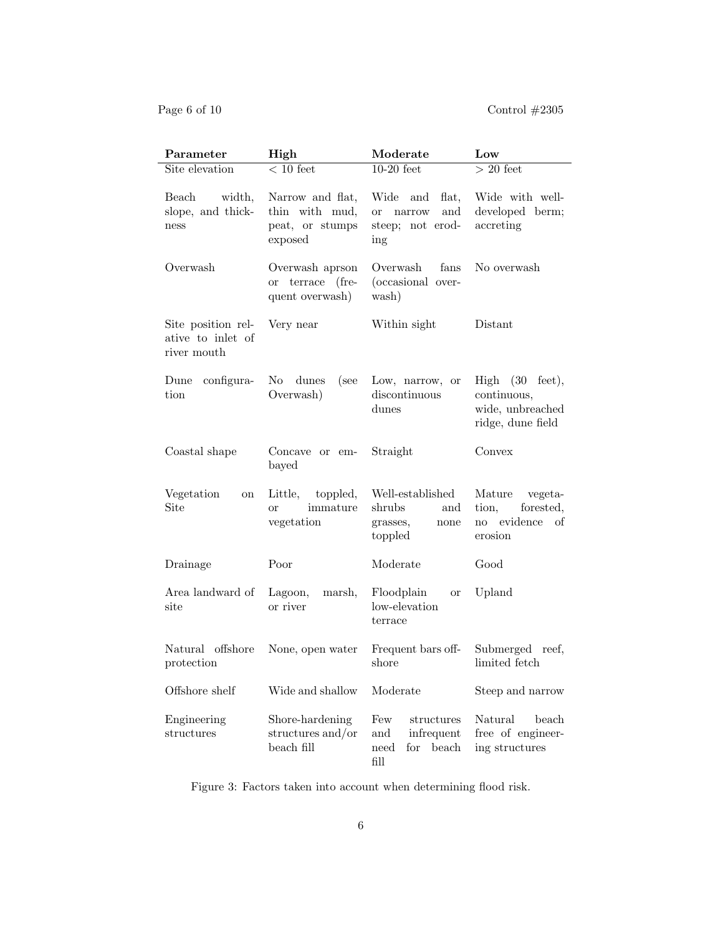| Parameter                                              | High                                                             | Moderate                                                                      | Low                                                                         |
|--------------------------------------------------------|------------------------------------------------------------------|-------------------------------------------------------------------------------|-----------------------------------------------------------------------------|
| Site elevation                                         | $< 10$ feet                                                      | $10-20$ feet                                                                  | $>20$ feet                                                                  |
| Beach<br>width,<br>slope, and thick-<br>ness           | Narrow and flat,<br>thin with mud,<br>peat, or stumps<br>exposed | Wide<br>flat,<br>and<br>and<br><b>or</b><br>narrow<br>steep; not erod-<br>ing | Wide with well-<br>developed berm;<br>accreting                             |
| Overwash                                               | Overwash aprson<br>or terrace (fre-<br>quent overwash)           | Overwash<br>fans<br>(occasional over-<br>wash)                                | No overwash                                                                 |
| Site position rel-<br>ative to inlet of<br>river mouth | Very near                                                        | Within sight                                                                  | Distant                                                                     |
| configura-<br>Dune<br>tion                             | No<br>dunes<br>(see<br>Overwash)                                 | Low, narrow, or<br>discontinuous<br>dunes                                     | High (30)<br>feet),<br>continuous,<br>wide, unbreached<br>ridge, dune field |
| Coastal shape                                          | Concave or em-<br>bayed                                          | Straight                                                                      | Convex                                                                      |
| Vegetation<br>on<br>Site                               | Little,<br>toppled,<br>immature<br><sub>or</sub><br>vegetation   | Well-established<br>shrubs<br>and<br>grasses,<br>none<br>toppled              | Mature<br>vegeta-<br>forested,<br>tion,<br>no evidence<br>– of<br>erosion   |
| Drainage                                               | Poor                                                             | Moderate                                                                      | Good                                                                        |
| Area landward of<br>$_{\rm site}$                      | Lagoon,<br>marsh,<br>or river                                    | Floodplain<br><b>or</b><br>low-elevation<br>terrace                           | Upland                                                                      |
| Natural offshore<br>protection                         | None, open water                                                 | Frequent bars off-<br>shore                                                   | Submerged reef,<br>limited fetch                                            |
| Offshore shelf                                         | Wide and shallow                                                 | Moderate                                                                      | Steep and narrow                                                            |
| Engineering<br>structures                              | Shore-hardening<br>structures and/or<br>beach fill               | Few<br>structures<br>infrequent<br>and<br>beach<br>need<br>for<br>fill        | Natural<br>beach<br>free of engineer-<br>ing structures                     |

Figure 3: Factors taken into account when determining flood risk.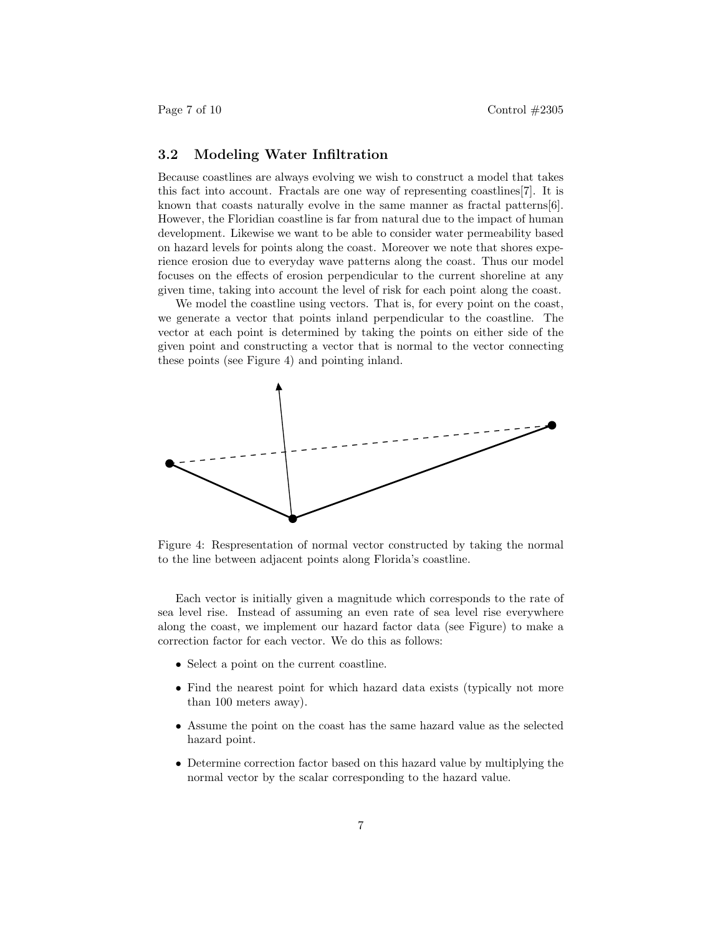#### 3.2 Modeling Water Infiltration

Because coastlines are always evolving we wish to construct a model that takes this fact into account. Fractals are one way of representing coastlines[7]. It is known that coasts naturally evolve in the same manner as fractal patterns[6]. However, the Floridian coastline is far from natural due to the impact of human development. Likewise we want to be able to consider water permeability based on hazard levels for points along the coast. Moreover we note that shores experience erosion due to everyday wave patterns along the coast. Thus our model focuses on the effects of erosion perpendicular to the current shoreline at any given time, taking into account the level of risk for each point along the coast.

We model the coastline using vectors. That is, for every point on the coast, we generate a vector that points inland perpendicular to the coastline. The vector at each point is determined by taking the points on either side of the given point and constructing a vector that is normal to the vector connecting these points (see Figure 4) and pointing inland.



Figure 4: Respresentation of normal vector constructed by taking the normal to the line between adjacent points along Florida's coastline.

Each vector is initially given a magnitude which corresponds to the rate of sea level rise. Instead of assuming an even rate of sea level rise everywhere along the coast, we implement our hazard factor data (see Figure) to make a correction factor for each vector. We do this as follows:

- Select a point on the current coastline.
- Find the nearest point for which hazard data exists (typically not more than 100 meters away).
- Assume the point on the coast has the same hazard value as the selected hazard point.
- Determine correction factor based on this hazard value by multiplying the normal vector by the scalar corresponding to the hazard value.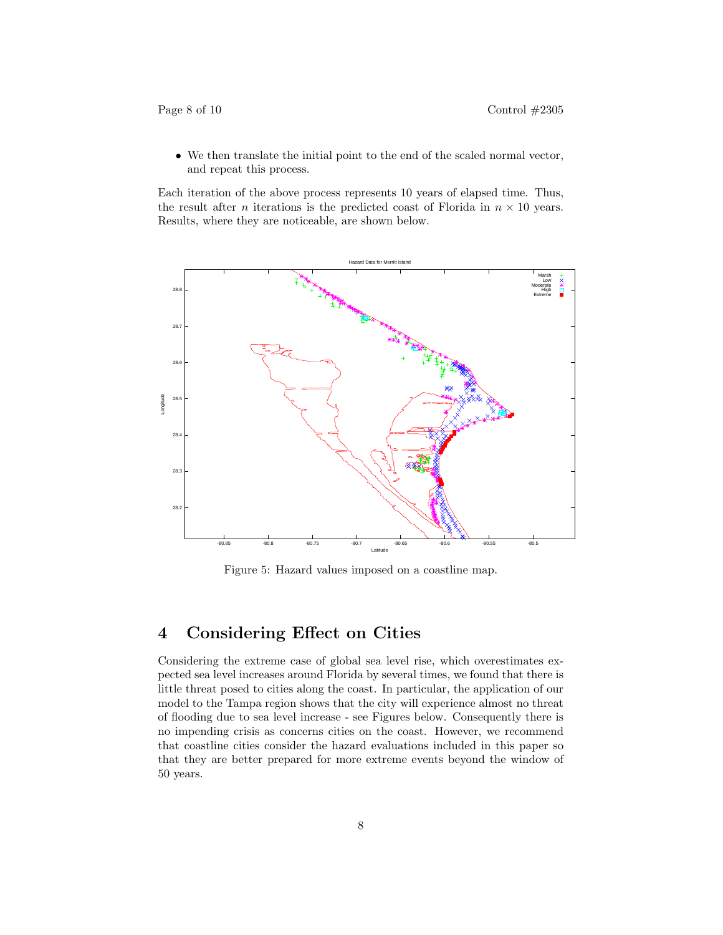• We then translate the initial point to the end of the scaled normal vector, and repeat this process.

Each iteration of the above process represents 10 years of elapsed time. Thus, the result after *n* iterations is the predicted coast of Florida in  $n \times 10$  years. Results, where they are noticeable, are shown below.



Figure 5: Hazard values imposed on a coastline map.

### 4 Considering Effect on Cities

Considering the extreme case of global sea level rise, which overestimates expected sea level increases around Florida by several times, we found that there is little threat posed to cities along the coast. In particular, the application of our model to the Tampa region shows that the city will experience almost no threat of flooding due to sea level increase - see Figures below. Consequently there is no impending crisis as concerns cities on the coast. However, we recommend that coastline cities consider the hazard evaluations included in this paper so that they are better prepared for more extreme events beyond the window of 50 years.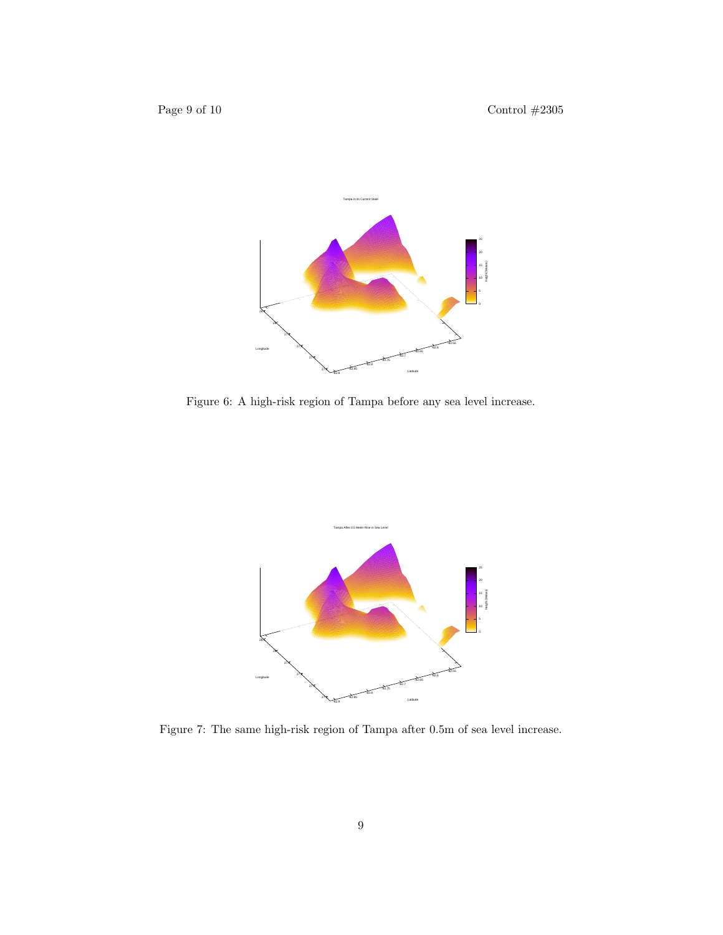

Figure 6: A high-risk region of Tampa before any sea level increase.



Figure 7: The same high-risk region of Tampa after 0.5m of sea level increase.